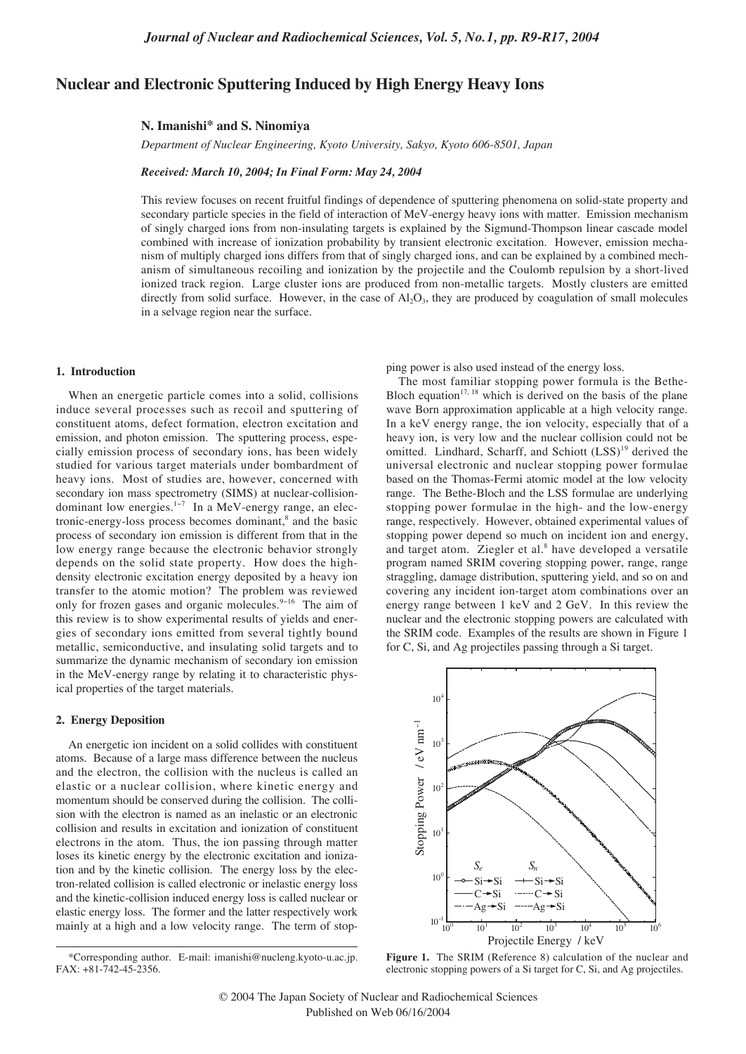# **Nuclear and Electronic Sputtering Induced by High Energy Heavy Ions**

#### **N. Imanishi\* and S. Ninomiya**

*Department of Nuclear Engineering, Kyoto University, Sakyo, Kyoto 606-8501, Japan*

#### *Received: March 10, 2004; In Final Form: May 24, 2004*

This review focuses on recent fruitful findings of dependence of sputtering phenomena on solid-state property and secondary particle species in the field of interaction of MeV-energy heavy ions with matter. Emission mechanism of singly charged ions from non-insulating targets is explained by the Sigmund-Thompson linear cascade model combined with increase of ionization probability by transient electronic excitation. However, emission mechanism of multiply charged ions differs from that of singly charged ions, and can be explained by a combined mechanism of simultaneous recoiling and ionization by the projectile and the Coulomb repulsion by a short-lived ionized track region. Large cluster ions are produced from non-metallic targets. Mostly clusters are emitted directly from solid surface. However, in the case of  $Al_2O_3$ , they are produced by coagulation of small molecules in a selvage region near the surface.

### **1. Introduction**

When an energetic particle comes into a solid, collisions induce several processes such as recoil and sputtering of constituent atoms, defect formation, electron excitation and emission, and photon emission. The sputtering process, especially emission process of secondary ions, has been widely studied for various target materials under bombardment of heavy ions. Most of studies are, however, concerned with secondary ion mass spectrometry (SIMS) at nuclear-collisiondominant low energies.1−<sup>7</sup> In a MeV-energy range, an electronic-energy-loss process becomes dominant,<sup>8</sup> and the basic process of secondary ion emission is different from that in the low energy range because the electronic behavior strongly depends on the solid state property. How does the highdensity electronic excitation energy deposited by a heavy ion transfer to the atomic motion? The problem was reviewed only for frozen gases and organic molecules.<sup>9-16</sup> The aim of this review is to show experimental results of yields and energies of secondary ions emitted from several tightly bound metallic, semiconductive, and insulating solid targets and to summarize the dynamic mechanism of secondary ion emission in the MeV-energy range by relating it to characteristic physical properties of the target materials.

# **2. Energy Deposition**

An energetic ion incident on a solid collides with constituent atoms. Because of a large mass difference between the nucleus and the electron, the collision with the nucleus is called an elastic or a nuclear collision, where kinetic energy and momentum should be conserved during the collision. The collision with the electron is named as an inelastic or an electronic collision and results in excitation and ionization of constituent electrons in the atom. Thus, the ion passing through matter loses its kinetic energy by the electronic excitation and ionization and by the kinetic collision. The energy loss by the electron-related collision is called electronic or inelastic energy loss and the kinetic-collision induced energy loss is called nuclear or elastic energy loss. The former and the latter respectively work mainly at a high and a low velocity range. The term of stopping power is also used instead of the energy loss.

The most familiar stopping power formula is the Bethe-Bloch equation<sup>17, 18</sup> which is derived on the basis of the plane wave Born approximation applicable at a high velocity range. In a keV energy range, the ion velocity, especially that of a heavy ion, is very low and the nuclear collision could not be omitted. Lindhard, Scharff, and Schiott (LSS)<sup>19</sup> derived the universal electronic and nuclear stopping power formulae based on the Thomas-Fermi atomic model at the low velocity range. The Bethe-Bloch and the LSS formulae are underlying stopping power formulae in the high- and the low-energy range, respectively. However, obtained experimental values of stopping power depend so much on incident ion and energy, and target atom. Ziegler et al.<sup>8</sup> have developed a versatile program named SRIM covering stopping power, range, range straggling, damage distribution, sputtering yield, and so on and covering any incident ion-target atom combinations over an energy range between 1 keV and 2 GeV. In this review the nuclear and the electronic stopping powers are calculated with the SRIM code. Examples of the results are shown in Figure 1 for C, Si, and Ag projectiles passing through a Si target.



**Figure 1.** The SRIM (Reference 8) calculation of the nuclear and electronic stopping powers of a Si target for C, Si, and Ag projectiles.

© 2004 The Japan Society of Nuclear and Radiochemical Sciences Published on Web 06/16/2004

<sup>\*</sup>Corresponding author. E-mail: imanishi@nucleng.kyoto-u.ac.jp. FAX: +81-742-45-2356.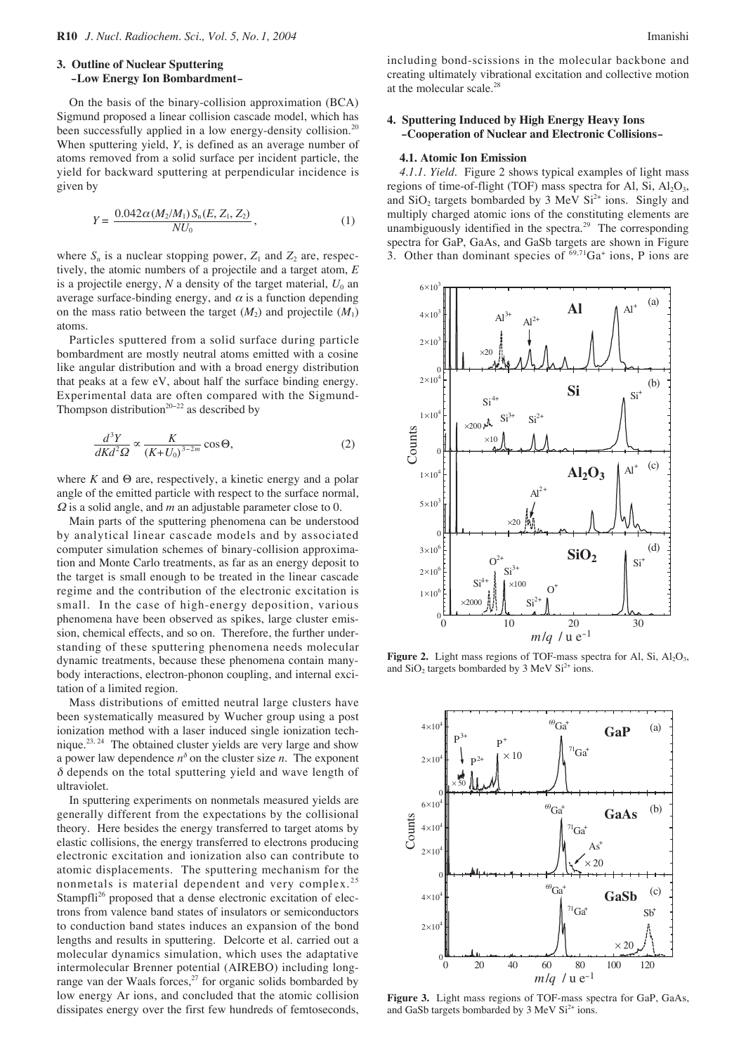## **3. Outline of Nuclear Sputtering –Low Energy Ion Bombardment–**

On the basis of the binary-collision approximation (BCA) Sigmund proposed a linear collision cascade model, which has been successfully applied in a low energy-density collision.<sup>20</sup> When sputtering yield, *Y*, is defined as an average number of atoms removed from a solid surface per incident particle, the yield for backward sputtering at perpendicular incidence is given by

$$
Y = \frac{0.042\alpha (M_2/M_1) S_n(E, Z_1, Z_2)}{NU_0},
$$
\n(1)

where  $S_n$  is a nuclear stopping power,  $Z_1$  and  $Z_2$  are, respectively, the atomic numbers of a projectile and a target atom, *E* is a projectile energy,  $N$  a density of the target material,  $U_0$  an average surface-binding energy, and  $\alpha$  is a function depending on the mass ratio between the target  $(M_2)$  and projectile  $(M_1)$ atoms.

Particles sputtered from a solid surface during particle bombardment are mostly neutral atoms emitted with a cosine like angular distribution and with a broad energy distribution that peaks at a few eV, about half the surface binding energy. Experimental data are often compared with the Sigmund-Thompson distribution<sup>20−22</sup> as described by

$$
\frac{d^3Y}{dKd^2\Omega} \propto \frac{K}{\left(K+U_0\right)^{3-2m}} \cos \Theta,
$$
\n(2)

where *K* and Θ are, respectively, a kinetic energy and a polar angle of the emitted particle with respect to the surface normal, <sup>Ω</sup> is a solid angle, and *m* an adjustable parameter close to 0.

Main parts of the sputtering phenomena can be understood by analytical linear cascade models and by associated computer simulation schemes of binary-collision approximation and Monte Carlo treatments, as far as an energy deposit to the target is small enough to be treated in the linear cascade regime and the contribution of the electronic excitation is small. In the case of high-energy deposition, various phenomena have been observed as spikes, large cluster emission, chemical effects, and so on. Therefore, the further understanding of these sputtering phenomena needs molecular dynamic treatments, because these phenomena contain manybody interactions, electron-phonon coupling, and internal excitation of a limited region.

Mass distributions of emitted neutral large clusters have been systematically measured by Wucher group using a post ionization method with a laser induced single ionization technique.23, 24 The obtained cluster yields are very large and show a power law dependence  $n^{\delta}$  on the cluster size *n*. The exponent  $\delta$  depends on the total sputtering yield and wave length of ultraviolet.

In sputtering experiments on nonmetals measured yields are generally different from the expectations by the collisional theory. Here besides the energy transferred to target atoms by elastic collisions, the energy transferred to electrons producing electronic excitation and ionization also can contribute to atomic displacements. The sputtering mechanism for the nonmetals is material dependent and very complex.<sup>25</sup> Stampfli<sup>26</sup> proposed that a dense electronic excitation of electrons from valence band states of insulators or semiconductors to conduction band states induces an expansion of the bond lengths and results in sputtering. Delcorte et al. carried out a molecular dynamics simulation, which uses the adaptative intermolecular Brenner potential (AIREBO) including longrange van der Waals forces, $^{27}$  for organic solids bombarded by low energy Ar ions, and concluded that the atomic collision dissipates energy over the first few hundreds of femtoseconds, including bond-scissions in the molecular backbone and creating ultimately vibrational excitation and collective motion at the molecular scale.28

### **4. Sputtering Induced by High Energy Heavy Ions –Cooperation of Nuclear and Electronic Collisions–**

### **4.1. Atomic Ion Emission**

*4.1.1. Yield.* Figure 2 shows typical examples of light mass regions of time-of-flight (TOF) mass spectra for Al, Si,  $Al_2O_3$ , and SiO<sub>2</sub> targets bombarded by  $3 \text{ MeV } Si^{2+}$  ions. Singly and multiply charged atomic ions of the constituting elements are unambiguously identified in the spectra.<sup>29</sup> The corresponding spectra for GaP, GaAs, and GaSb targets are shown in Figure 3. Other than dominant species of  $69,71$ Ga<sup>+</sup> ions, P ions are



**Figure 2.** Light mass regions of TOF-mass spectra for Al, Si,  $Al_2O_3$ , and  $SiO<sub>2</sub>$  targets bombarded by 3 MeV  $Si<sup>2+</sup>$  ions.



**Figure 3.** Light mass regions of TOF-mass spectra for GaP, GaAs, and GaSb targets bombarded by 3 MeV  $Si<sup>2+</sup>$  ions.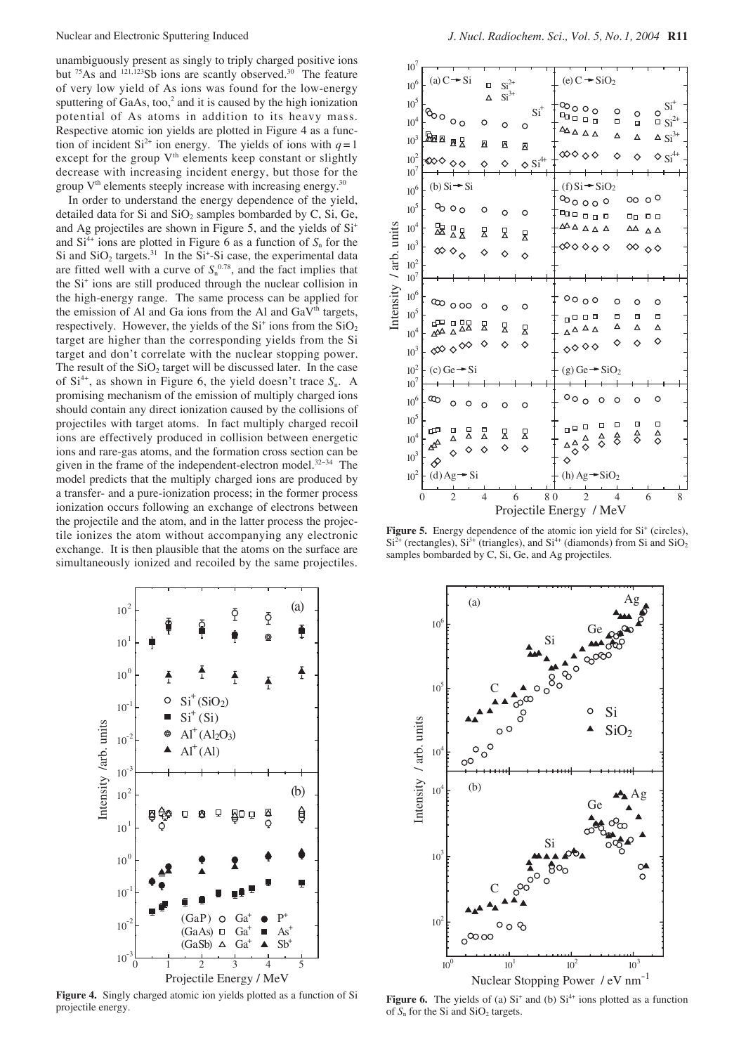unambiguously present as singly to triply charged positive ions but  $75\text{As}$  and  $121,123\text{Sb}$  ions are scantly observed.<sup>30</sup> The feature of very low yield of As ions was found for the low-energy sputtering of GaAs, too, $\frac{2}{3}$  and it is caused by the high ionization potential of As atoms in addition to its heavy mass. Respective atomic ion yields are plotted in Figure 4 as a function of incident  $Si^{2+}$  ion energy. The yields of ions with  $q=1$ except for the group  $V<sup>th</sup>$  elements keep constant or slightly decrease with increasing incident energy, but those for the group  $V<sup>th</sup>$  elements steeply increase with increasing energy.<sup>30</sup>

In order to understand the energy dependence of the yield, detailed data for Si and  $SiO<sub>2</sub>$  samples bombarded by C, Si, Ge, and Ag projectiles are shown in Figure 5, and the yields of  $Si<sup>+</sup>$ and  $Si<sup>4+</sup>$  ions are plotted in Figure 6 as a function of  $S_n$  for the Si and  $SiO<sub>2</sub>$  targets.<sup>31</sup> In the Si<sup>+</sup>-Si case, the experimental data are fitted well with a curve of  $S_n^{0.78}$ , and the fact implies that the Si+ ions are still produced through the nuclear collision in the high-energy range. The same process can be applied for the emission of Al and Ga ions from the Al and  $GaV<sup>th</sup>$  targets, respectively. However, the yields of the  $Si<sup>+</sup>$  ions from the  $SiO<sub>2</sub>$ target are higher than the corresponding yields from the Si target and don't correlate with the nuclear stopping power. The result of the  $SiO<sub>2</sub>$  target will be discussed later. In the case of  $Si<sup>4+</sup>$ , as shown in Figure 6, the yield doesn't trace  $S_n$ . A promising mechanism of the emission of multiply charged ions should contain any direct ionization caused by the collisions of projectiles with target atoms. In fact multiply charged recoil ions are effectively produced in collision between energetic ions and rare-gas atoms, and the formation cross section can be given in the frame of the independent-electron model.<sup>32-34</sup> The model predicts that the multiply charged ions are produced by a transfer- and a pure-ionization process; in the former process ionization occurs following an exchange of electrons between the projectile and the atom, and in the latter process the projectile ionizes the atom without accompanying any electronic exchange. It is then plausible that the atoms on the surface are simultaneously ionized and recoiled by the same projectiles.



**Figure 4.** Singly charged atomic ion yields plotted as a function of Si projectile energy.

| Intensity / arb. units | $10^7\,$<br>$10^6\,$<br>$10^5\,$<br>$10^4\,$<br>$10^3\,$<br>$10^2\,$<br>10 <sup>7</sup>                                                  | (a) $C \rightarrow Si$<br>$\delta$<br>ᇒ <sub>¤风</sub><br>≪া ◇                             |             | $\Box$<br>Δ<br>O<br>Σ<br>♦ | $\mathrm{Si}^{2+}$<br>$Si3+$<br>O<br>$\overline{\mathbb{N}}$<br>♦ | O<br>亙                          | $Si+$<br>$\diamond$ Si <sup>4+</sup> | $\infty$ 000<br>۵ م <del>م</del><br>ᅀᅀᇫᇫᇫ<br>$\infty \diamond \diamond \diamond$ | (e) $C = SiO2$                                                                                                 | O<br>$\Box$<br>Δ<br>◇    | $\circ$<br>$\Box$<br>Δ<br>♦               | O                                      | $\mathrm{Si}^+$<br>$\overline{\phantom{a}}$ Si <sup>2+</sup><br>$\Delta$ $\mathrm{Si}^{3+}$<br>$\diamond$ Si <sup>4+</sup> |
|------------------------|------------------------------------------------------------------------------------------------------------------------------------------|-------------------------------------------------------------------------------------------|-------------|----------------------------|-------------------------------------------------------------------|---------------------------------|--------------------------------------|----------------------------------------------------------------------------------|----------------------------------------------------------------------------------------------------------------|--------------------------|-------------------------------------------|----------------------------------------|----------------------------------------------------------------------------------------------------------------------------|
|                        | $10^6\,$<br>$10^5\,$<br>$10^4\,$<br>$10^3\,$<br>$10^2\,$<br>$10^7$<br>$10^6\,$<br>$10^5\,$<br>$10^4\,$<br>$10^3\,$<br>$10^2\,$<br>$10^7$ | (b) $Si - Si$<br>$\infty$ o<br>迟 있<br>$\infty$ $\diamond$ $\diamond$<br>യ <sub>oo</sub>   |             | $\circ$<br>모<br>♦<br>O     | $\circ$<br>모<br>♦<br>O                                            | O<br>모<br>$\Diamond$<br>$\circ$ |                                      |                                                                                  | $(f) Si = SiO2$<br>$\infty$ 000<br><b>00000</b><br>ឹ△△△△△<br>∞००००<br>0000<br>0000                             | O<br>α                   | 0000<br>□□<br>ΔΔ<br>$\infty$ 00<br>O<br>□ | 0 O<br>$\Delta$ $\Delta$<br>O<br>□     |                                                                                                                            |
|                        |                                                                                                                                          | 쨇ಜ<br>∞◇◇<br>$(c)$ Ge $\rightarrow$ Si                                                    |             | 모<br>♦                     | 모<br>♦                                                            | Σ<br>♦                          |                                      | $\circ \circ \circ$                                                              | ००००<br>$(g)$ Ge $\rightarrow$ SiO <sub>2</sub>                                                                | Δ<br>♦                   | Δ<br>♦                                    | Δ<br>♦                                 |                                                                                                                            |
|                        | $10^6\,$<br>$10^5\,$<br>$10^4\,$<br>$10^3\,$<br>$10^2\,$                                                                                 | $^{\circ}$<br>$\circ$<br>B<br>$\Box$<br>Δ<br>$\Diamond$<br>♦<br>$(d)$ Ag $\rightarrow$ Si | O<br>묘<br>♦ | $\circ$<br>묘<br>♦          | O<br>모<br>♦                                                       | O<br>모<br>♦                     |                                      | o 0 0<br>$\Delta\,{\Delta\over 2}$<br>◇<br>$\Diamond$                            | O<br>α<br>$\overset{\Delta}{\diamond}$<br>$\frac{\Delta}{\Diamond}$<br>$(h)$ Ag $\rightarrow$ SiO <sub>2</sub> | $\circ$<br>Ω<br>☆        | $\circ$<br>□<br>$\frac{\Delta}{\hat{C}}$  | O<br>Ω<br>$\overset{\Delta}{\diamond}$ |                                                                                                                            |
|                        |                                                                                                                                          | $\mathcal{D}_{\mathcal{A}}$<br>$\theta$                                                   |             | $\overline{4}$             | 6                                                                 |                                 | 80                                   | Projectile Energy / MeV                                                          | $\overline{2}$                                                                                                 | $\overline{\mathcal{A}}$ |                                           | 6                                      | 8                                                                                                                          |

Figure 5. Energy dependence of the atomic ion yield for Si<sup>+</sup> (circles),  $Si<sup>2+</sup>$  (rectangles),  $Si<sup>3+</sup>$  (triangles), and  $Si<sup>4+</sup>$  (diamonds) from Si and  $SiO<sub>2</sub>$ samples bombarded by C, Si, Ge, and Ag projectiles.



**Figure 6.** The yields of (a)  $Si<sup>+</sup>$  and (b)  $Si<sup>4+</sup>$  ions plotted as a function of  $S_n$  for the Si and  $SiO_2$  targets.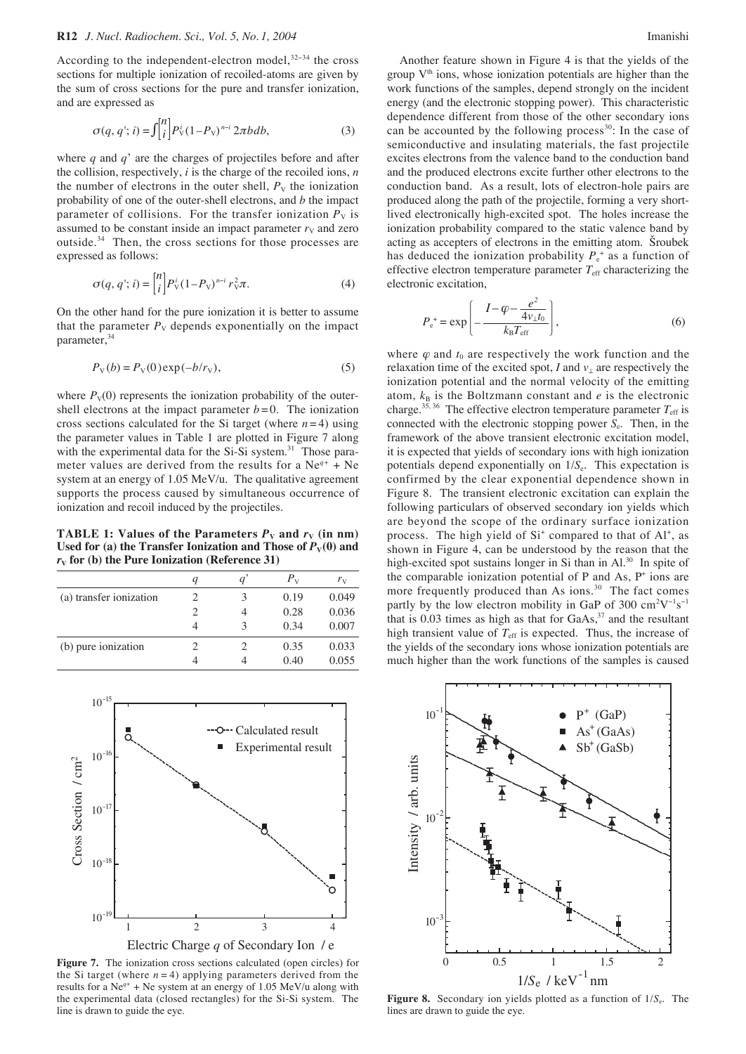According to the independent-electron model,<sup>32-34</sup> the cross sections for multiple ionization of recoiled-atoms are given by the sum of cross sections for the pure and transfer ionization, and are expressed as

$$
\sigma(q, q'; i) = \int_{i}^{n} \left| P_{\mathrm{V}}^{i} (1 - P_{\mathrm{V}})^{n-i} 2\pi b db, \right. \tag{3}
$$

where *q* and *q*' are the charges of projectiles before and after the collision, respectively, *i* is the charge of the recoiled ions, *n* the number of electrons in the outer shell,  $P<sub>V</sub>$  the ionization probability of one of the outer-shell electrons, and *b* the impact parameter of collisions. For the transfer ionization  $P<sub>V</sub>$  is assumed to be constant inside an impact parameter  $r<sub>V</sub>$  and zero outside.<sup>34</sup> Then, the cross sections for those processes are expressed as follows:

$$
\sigma(q, q'; i) = \binom{n}{i} P_{\rm V}^{i} (1 - P_{\rm V})^{n-i} r_{\rm V}^{2} \pi.
$$
 (4)

On the other hand for the pure ionization it is better to assume that the parameter  $P_V$  depends exponentially on the impact parameter,<sup>34</sup>

$$
P_V(b) = P_V(0) \exp(-b/r_V),\tag{5}
$$

where  $P_V(0)$  represents the ionization probability of the outershell electrons at the impact parameter  $b = 0$ . The ionization cross sections calculated for the Si target (where  $n=4$ ) using the parameter values in Table 1 are plotted in Figure 7 along with the experimental data for the  $Si-Si$  system.<sup>31</sup> Those parameter values are derived from the results for a Ne*q+* + Ne system at an energy of 1.05 MeV/u. The qualitative agreement supports the process caused by simultaneous occurrence of ionization and recoil induced by the projectiles.

**TABLE 1: Values of the Parameters**  $P_v$  **and**  $r_v$  **(in nm)** Used for (a) the Transfer Ionization and Those of  $P_V(0)$  and  $r_v$  for (b) the Pure Ionization (Reference 31)

|                         | ч |   | $P_{V}$ | $r_{\rm V}$ |
|-------------------------|---|---|---------|-------------|
| (a) transfer ionization | 2 | 3 | 0.19    | 0.049       |
|                         | 2 |   | 0.28    | 0.036       |
|                         | 4 | 3 | 0.34    | 0.007       |
| (b) pure ionization     |   |   | 0.35    | 0.033       |
|                         |   |   | 0.40    | 0.055       |
|                         |   |   |         |             |



**Figure 7.** The ionization cross sections calculated (open circles) for the Si target (where  $n = 4$ ) applying parameters derived from the results for a  $Ne^{q+}$  + Ne system at an energy of 1.05 MeV/u along with the experimental data (closed rectangles) for the Si-Si system. The line is drawn to guide the eye.

Another feature shown in Figure 4 is that the yields of the group  $V<sup>th</sup>$  ions, whose ionization potentials are higher than the work functions of the samples, depend strongly on the incident energy (and the electronic stopping power). This characteristic dependence different from those of the other secondary ions can be accounted by the following process<sup>30</sup>: In the case of semiconductive and insulating materials, the fast projectile excites electrons from the valence band to the conduction band and the produced electrons excite further other electrons to the conduction band. As a result, lots of electron-hole pairs are produced along the path of the projectile, forming a very shortlived electronically high-excited spot. The holes increase the ionization probability compared to the static valence band by acting as accepters of electrons in the emitting atom. Sroubek has deduced the ionization probability  $P_e^+$  as a function of effective electron temperature parameter  $T_{\text{eff}}$  characterizing the electronic excitation,

$$
P_{e}^{+} = \exp\left(-\frac{I - \varphi - \frac{e^{2}}{4v_{\perp}t_{0}}}{k_{B}T_{\text{eff}}}\right),
$$
 (6)

where  $\varphi$  and  $t_0$  are respectively the work function and the relaxation time of the excited spot, *I* and  $v_{\perp}$  are respectively the ionization potential and the normal velocity of the emitting atom,  $k_B$  is the Boltzmann constant and  $e$  is the electronic charge.<sup>35, 36</sup> The effective electron temperature parameter  $T_{\text{eff}}$  is connected with the electronic stopping power *S*<sub>e</sub>. Then, in the framework of the above transient electronic excitation model, it is expected that yields of secondary ions with high ionization potentials depend exponentially on  $1/S_e$ . This expectation is confirmed by the clear exponential dependence shown in Figure 8. The transient electronic excitation can explain the following particulars of observed secondary ion yields which are beyond the scope of the ordinary surface ionization process. The high yield of Si<sup>+</sup> compared to that of Al<sup>+</sup>, as shown in Figure 4, can be understood by the reason that the high-excited spot sustains longer in Si than in Al.<sup>30</sup> In spite of the comparable ionization potential of P and As, P+ ions are more frequently produced than As ions.<sup>30</sup> The fact comes partly by the low electron mobility in GaP of 300  $\text{cm}^2\text{V}^{-1}\text{s}^{-1}$ that is  $0.03$  times as high as that for  $GaAs$ ,<sup>37</sup> and the resultant high transient value of  $T_{\text{eff}}$  is expected. Thus, the increase of the yields of the secondary ions whose ionization potentials are much higher than the work functions of the samples is caused



Figure 8. Secondary ion yields plotted as a function of  $1/S_e$ . The lines are drawn to guide the eye.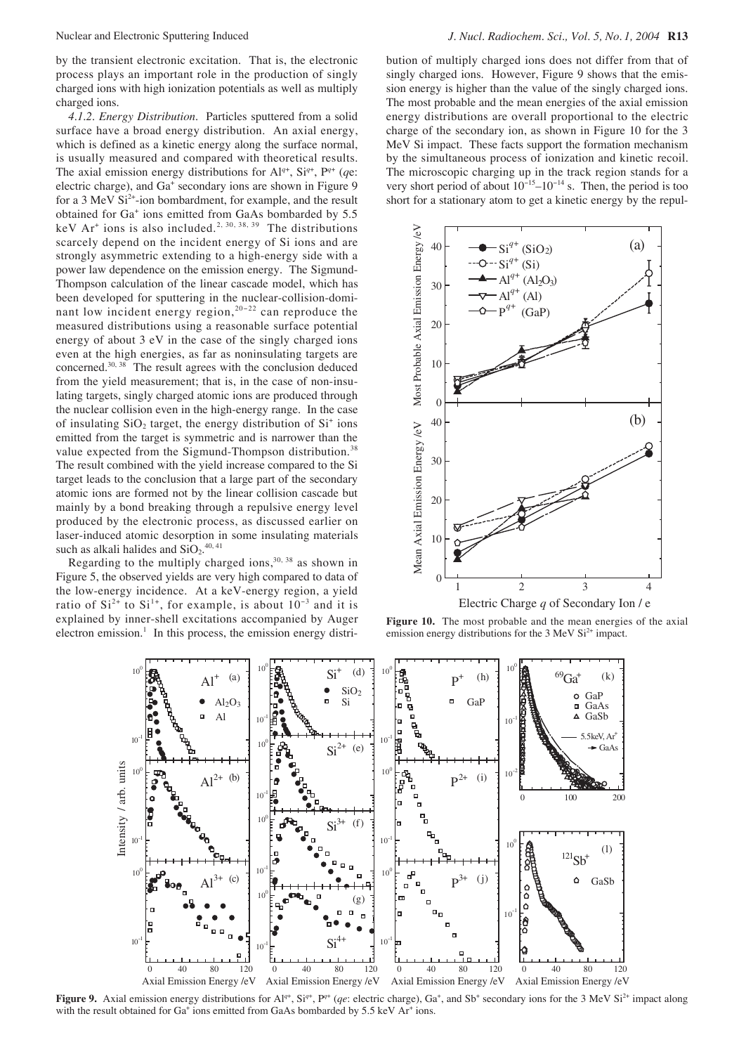by the transient electronic excitation. That is, the electronic process plays an important role in the production of singly charged ions with high ionization potentials as well as multiply charged ions.

*4.1.2. Energy Distribution.* Particles sputtered from a solid surface have a broad energy distribution. An axial energy, which is defined as a kinetic energy along the surface normal, is usually measured and compared with theoretical results. The axial emission energy distributions for  $Al^{q+}$ ,  $Si^{q+}$ ,  $P^{q+}$  (qe: electric charge), and Ga<sup>+</sup> secondary ions are shown in Figure 9 for a 3 MeV  $Si<sup>2+</sup>$ -ion bombardment, for example, and the result obtained for Ga<sup>+</sup> ions emitted from GaAs bombarded by 5.5 keV Ar<sup>+</sup> ions is also included.<sup>2, 30, 38, 39</sup> The distributions scarcely depend on the incident energy of Si ions and are strongly asymmetric extending to a high-energy side with a power law dependence on the emission energy. The Sigmund-Thompson calculation of the linear cascade model, which has been developed for sputtering in the nuclear-collision-dominant low incident energy region,<sup>20−22</sup> can reproduce the measured distributions using a reasonable surface potential energy of about 3 eV in the case of the singly charged ions even at the high energies, as far as noninsulating targets are concerned. $30, 38$  The result agrees with the conclusion deduced from the yield measurement; that is, in the case of non-insulating targets, singly charged atomic ions are produced through the nuclear collision even in the high-energy range. In the case of insulating  $SiO<sub>2</sub>$  target, the energy distribution of  $Si<sup>+</sup>$  ions emitted from the target is symmetric and is narrower than the value expected from the Sigmund-Thompson distribution.<sup>38</sup> The result combined with the yield increase compared to the Si target leads to the conclusion that a large part of the secondary atomic ions are formed not by the linear collision cascade but mainly by a bond breaking through a repulsive energy level produced by the electronic process, as discussed earlier on laser-induced atomic desorption in some insulating materials such as alkali halides and  $SiO_2$ <sup>40,41</sup>

Regarding to the multiply charged ions,  $30, 38$  as shown in Figure 5, the observed yields are very high compared to data of the low-energy incidence. At a keV-energy region, a yield ratio of  $Si^{2+}$  to  $Si^{1+}$ , for example, is about  $10^{-3}$  and it is explained by inner-shell excitations accompanied by Auger electron emission.<sup>1</sup> In this process, the emission energy distri-

bution of multiply charged ions does not differ from that of singly charged ions. However, Figure 9 shows that the emission energy is higher than the value of the singly charged ions. The most probable and the mean energies of the axial emission energy distributions are overall proportional to the electric charge of the secondary ion, as shown in Figure 10 for the 3 MeV Si impact. These facts support the formation mechanism by the simultaneous process of ionization and kinetic recoil. The microscopic charging up in the track region stands for a very short period of about  $10^{-15}$ – $10^{-14}$  s. Then, the period is too short for a stationary atom to get a kinetic energy by the repul-



Figure 10. The most probable and the mean energies of the axial emission energy distributions for the 3 MeV Si<sup>2+</sup> impact.



**Figure 9.** Axial emission energy distributions for  $Al^{q+}$ ,  $Si^{q+}$ ,  $P^{q+}$  (*qe*: electric charge),  $Ga^+$ , and  $Sb^+$  secondary ions for the 3 MeV  $Si^{2+}$  impact along with the result obtained for  $Ga^+$  ions emitted from GaAs bombarded by 5.5 keV  $Ar^+$  ions.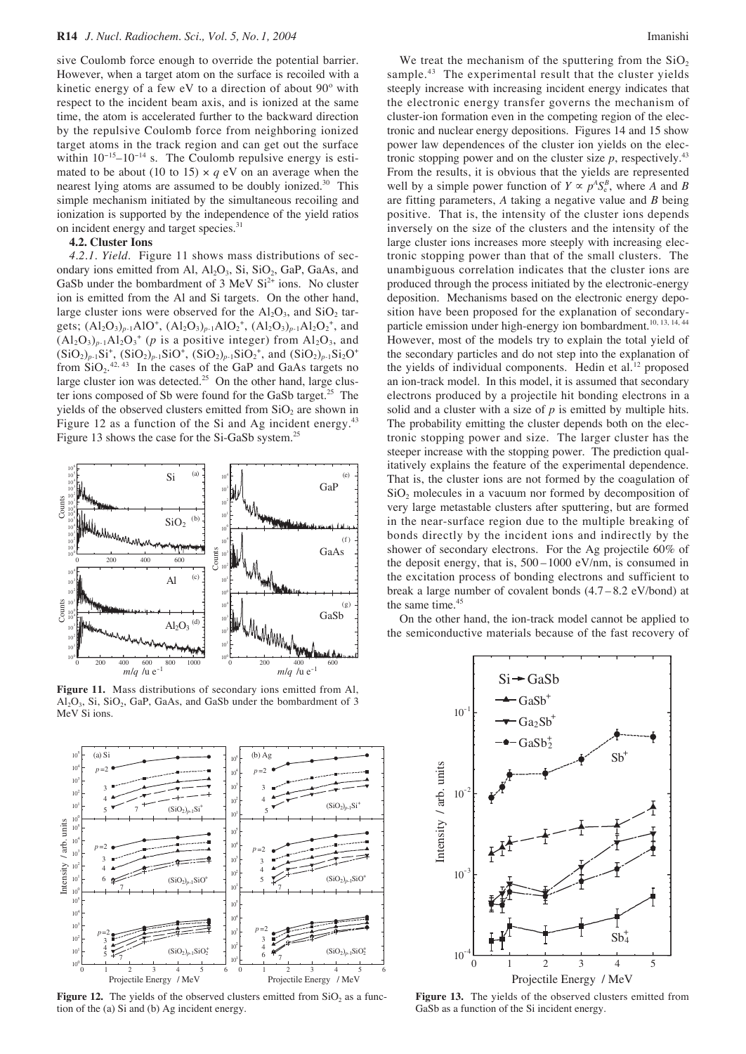sive Coulomb force enough to override the potential barrier. However, when a target atom on the surface is recoiled with a kinetic energy of a few eV to a direction of about 90º with respect to the incident beam axis, and is ionized at the same time, the atom is accelerated further to the backward direction by the repulsive Coulomb force from neighboring ionized target atoms in the track region and can get out the surface within  $10^{-15}$ – $10^{-14}$  s. The Coulomb repulsive energy is estimated to be about (10 to 15)  $\times$  *q* eV on an average when the nearest lying atoms are assumed to be doubly ionized.<sup>30</sup> This simple mechanism initiated by the simultaneous recoiling and ionization is supported by the independence of the yield ratios on incident energy and target species.<sup>31</sup>

### **4.2. Cluster Ions**

*4.2.1. Yield.* Figure 11 shows mass distributions of secondary ions emitted from Al,  $Al_2O_3$ ,  $Si$ ,  $SiO_2$ ,  $GaP$ ,  $GaAs$ , and GaSb under the bombardment of  $3 \text{ MeV } Si^{2+}$  ions. No cluster ion is emitted from the Al and Si targets. On the other hand, large cluster ions were observed for the  $Al_2O_3$ , and  $SiO_2$  targets;  $(Al_2O_3)_{p-1}AlO^+$ ,  $(Al_2O_3)_{p-1}AlO_2^+$ ,  $(Al_2O_3)_{p-1}Al_2O_2^+$ , and  $(Al_2O_3)_{p-1}Al_2O_3^+$  (*p* is a positive integer) from  $Al_2O_3$ , and  $(SiO_2)_{p-1}Si^+$ ,  $(SiO_2)_{p-1}SiO^+$ ,  $(SiO_2)_{p-1}SiO_2^+$ , and  $(SiO_2)_{p-1}Si_2O^+$ from  $SiO_2$ <sup>42, 43</sup> In the cases of the GaP and GaAs targets no large cluster ion was detected.<sup>25</sup> On the other hand, large cluster ions composed of Sb were found for the GaSb target.<sup>25</sup> The yields of the observed clusters emitted from  $SiO<sub>2</sub>$  are shown in Figure 12 as a function of the Si and Ag incident energy.<sup>43</sup> Figure 13 shows the case for the Si-GaSb system.<sup>25</sup>



**Figure 11.** Mass distributions of secondary ions emitted from Al,  $Al_2O_3$ , Si, SiO<sub>2</sub>, GaP, GaAs, and GaSb under the bombardment of 3 MeV Si ions.



**Figure 12.** The yields of the observed clusters emitted from  $SiO<sub>2</sub>$  as a function of the (a) Si and (b) Ag incident energy.

We treat the mechanism of the sputtering from the  $SiO<sub>2</sub>$ sample.<sup>43</sup> The experimental result that the cluster yields steeply increase with increasing incident energy indicates that the electronic energy transfer governs the mechanism of cluster-ion formation even in the competing region of the electronic and nuclear energy depositions. Figures 14 and 15 show power law dependences of the cluster ion yields on the electronic stopping power and on the cluster size  $p$ , respectively.<sup>43</sup> From the results, it is obvious that the yields are represented well by a simple power function of  $Y \propto p^A S_e^B$ , where *A* and *B* are fitting parameters, *A* taking a negative value and *B* being positive. That is, the intensity of the cluster ions depends inversely on the size of the clusters and the intensity of the large cluster ions increases more steeply with increasing electronic stopping power than that of the small clusters. The unambiguous correlation indicates that the cluster ions are produced through the process initiated by the electronic-energy deposition. Mechanisms based on the electronic energy deposition have been proposed for the explanation of secondaryparticle emission under high-energy ion bombardment.<sup>10, 13, 14, 44</sup> However, most of the models try to explain the total yield of the secondary particles and do not step into the explanation of the yields of individual components. Hedin et al. $12$  proposed an ion-track model. In this model, it is assumed that secondary electrons produced by a projectile hit bonding electrons in a solid and a cluster with a size of *p* is emitted by multiple hits. The probability emitting the cluster depends both on the electronic stopping power and size. The larger cluster has the steeper increase with the stopping power. The prediction qualitatively explains the feature of the experimental dependence. That is, the cluster ions are not formed by the coagulation of  $SiO<sub>2</sub>$  molecules in a vacuum nor formed by decomposition of very large metastable clusters after sputtering, but are formed in the near-surface region due to the multiple breaking of bonds directly by the incident ions and indirectly by the shower of secondary electrons. For the Ag projectile 60% of the deposit energy, that is, 500 –1000 eV/nm, is consumed in the excitation process of bonding electrons and sufficient to break a large number of covalent bonds (4.7 – 8.2 eV/bond) at the same time.<sup>45</sup>

On the other hand, the ion-track model cannot be applied to the semiconductive materials because of the fast recovery of



**Figure 13.** The yields of the observed clusters emitted from GaSb as a function of the Si incident energy.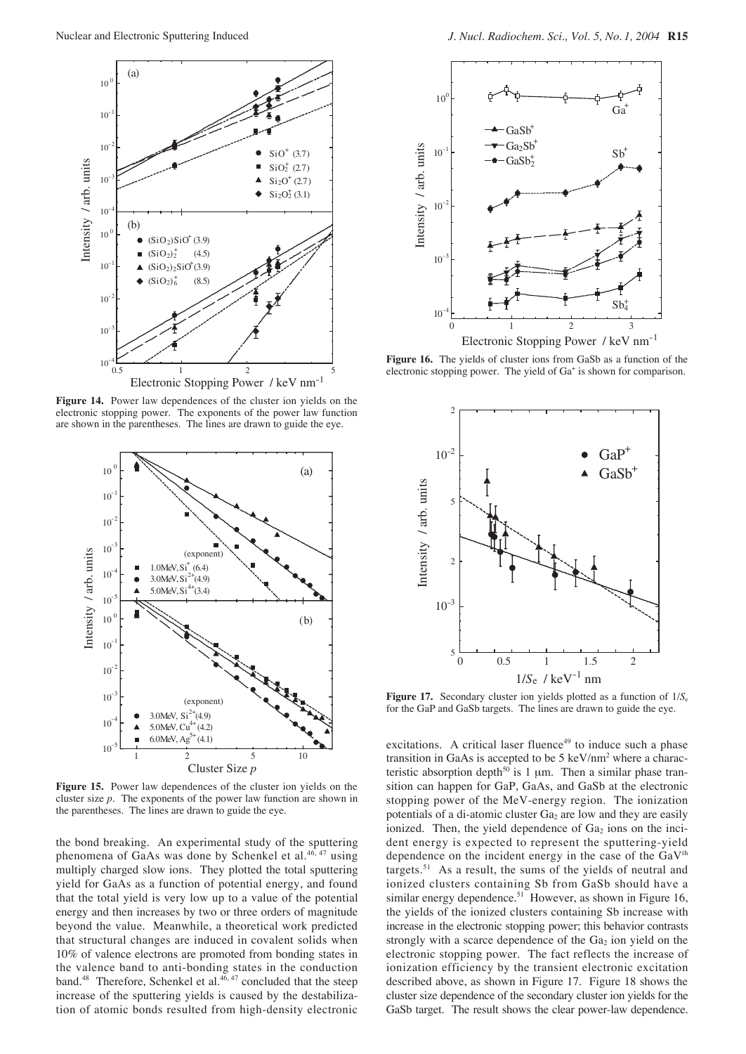

**Figure 14.** Power law dependences of the cluster ion yields on the electronic stopping power. The exponents of the power law function are shown in the parentheses. The lines are drawn to guide the eye.



**Figure 15.** Power law dependences of the cluster ion yields on the cluster size *p*. The exponents of the power law function are shown in the parentheses. The lines are drawn to guide the eye.

the bond breaking. An experimental study of the sputtering phenomena of GaAs was done by Schenkel et al.46, 47 using multiply charged slow ions. They plotted the total sputtering yield for GaAs as a function of potential energy, and found that the total yield is very low up to a value of the potential energy and then increases by two or three orders of magnitude beyond the value. Meanwhile, a theoretical work predicted that structural changes are induced in covalent solids when 10% of valence electrons are promoted from bonding states in the valence band to anti-bonding states in the conduction band.<sup>48</sup> Therefore, Schenkel et al.<sup>46, 47</sup> concluded that the steep increase of the sputtering yields is caused by the destabilization of atomic bonds resulted from high-density electronic



**Figure 16.** The yields of cluster ions from GaSb as a function of the electronic stopping power. The yield of Ga<sup>+</sup> is shown for comparison.



**Figure 17.** Secondary cluster ion yields plotted as a function of  $1/S_e$ for the GaP and GaSb targets. The lines are drawn to guide the eye.

excitations. A critical laser fluence $49$  to induce such a phase transition in GaAs is accepted to be  $5 \text{ keV/nm}^2$  where a characteristic absorption depth<sup>50</sup> is 1  $\mu$ m. Then a similar phase transition can happen for GaP, GaAs, and GaSb at the electronic stopping power of the MeV-energy region. The ionization potentials of a di-atomic cluster  $Ga<sub>2</sub>$  are low and they are easily ionized. Then, the yield dependence of  $Ga<sub>2</sub>$  ions on the incident energy is expected to represent the sputtering-yield dependence on the incident energy in the case of the  $GaV<sup>th</sup>$ targets.<sup>51</sup> As a result, the sums of the yields of neutral and ionized clusters containing Sb from GaSb should have a similar energy dependence.<sup>51</sup> However, as shown in Figure 16, the yields of the ionized clusters containing Sb increase with increase in the electronic stopping power; this behavior contrasts strongly with a scarce dependence of the  $Ga<sub>2</sub>$  ion yield on the electronic stopping power. The fact reflects the increase of ionization efficiency by the transient electronic excitation described above, as shown in Figure 17. Figure 18 shows the cluster size dependence of the secondary cluster ion yields for the GaSb target. The result shows the clear power-law dependence.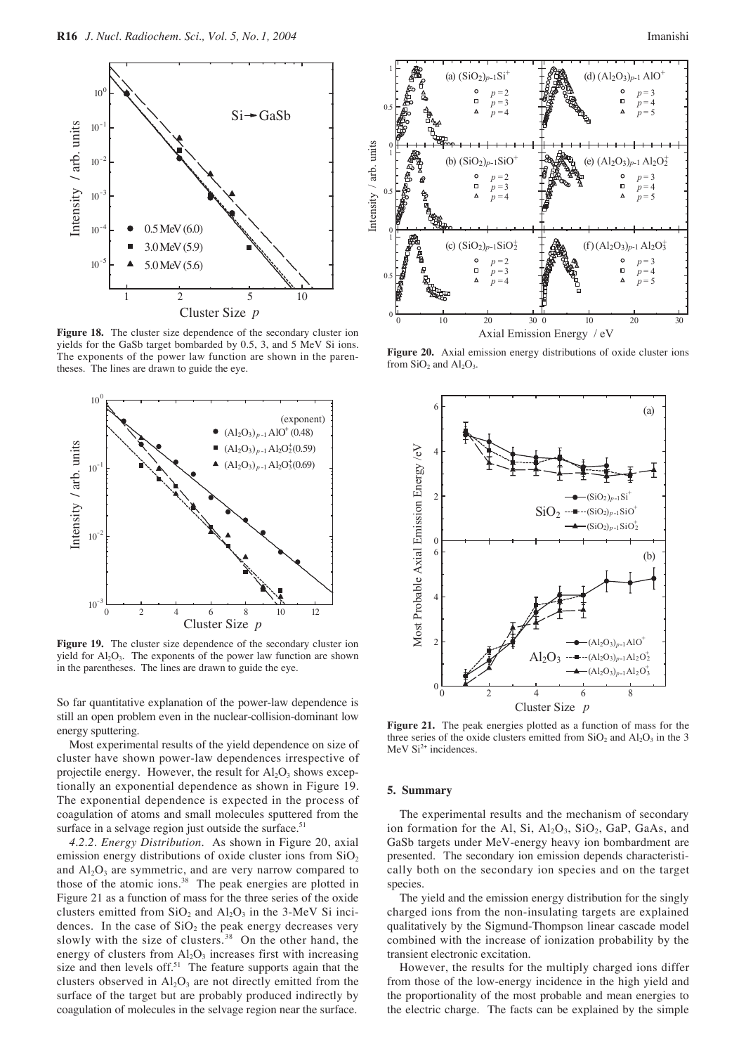

**Figure 18.** The cluster size dependence of the secondary cluster ion yields for the GaSb target bombarded by 0.5, 3, and 5 MeV Si ions. The exponents of the power law function are shown in the parentheses. The lines are drawn to guide the eye.



**Figure 19.** The cluster size dependence of the secondary cluster ion yield for  $Al_2O_3$ . The exponents of the power law function are shown in the parentheses. The lines are drawn to guide the eye.

So far quantitative explanation of the power-law dependence is still an open problem even in the nuclear-collision-dominant low energy sputtering.

Most experimental results of the yield dependence on size of cluster have shown power-law dependences irrespective of projectile energy. However, the result for  $Al_2O_3$  shows exceptionally an exponential dependence as shown in Figure 19. The exponential dependence is expected in the process of coagulation of atoms and small molecules sputtered from the surface in a selvage region just outside the surface. $51$ 

*4.2.2. Energy Distribution.* As shown in Figure 20, axial emission energy distributions of oxide cluster ions from  $SiO<sub>2</sub>$ and  $Al_2O_3$  are symmetric, and are very narrow compared to those of the atomic ions.<sup>38</sup> The peak energies are plotted in Figure 21 as a function of mass for the three series of the oxide clusters emitted from  $SiO_2$  and  $Al_2O_3$  in the 3-MeV Si incidences. In the case of  $SiO<sub>2</sub>$  the peak energy decreases very slowly with the size of clusters.<sup>38</sup> On the other hand, the energy of clusters from  $\text{Al}_2\text{O}_3$  increases first with increasing size and then levels off.<sup>51</sup> The feature supports again that the clusters observed in  $Al_2O_3$  are not directly emitted from the surface of the target but are probably produced indirectly by coagulation of molecules in the selvage region near the surface.



**Figure 20.** Axial emission energy distributions of oxide cluster ions from  $SiO<sub>2</sub>$  and  $Al<sub>2</sub>O<sub>3</sub>$ .



**Figure 21.** The peak energies plotted as a function of mass for the three series of the oxide clusters emitted from  $SiO<sub>2</sub>$  and  $Al<sub>2</sub>O<sub>3</sub>$  in the 3 MeV  $Si<sup>2+</sup>$  incidences.

#### **5. Summary**

The experimental results and the mechanism of secondary ion formation for the Al, Si,  $Al_2O_3$ ,  $SiO_2$ ,  $GaP$ ,  $GaAs$ , and GaSb targets under MeV-energy heavy ion bombardment are presented. The secondary ion emission depends characteristically both on the secondary ion species and on the target species.

The yield and the emission energy distribution for the singly charged ions from the non-insulating targets are explained qualitatively by the Sigmund-Thompson linear cascade model combined with the increase of ionization probability by the transient electronic excitation.

However, the results for the multiply charged ions differ from those of the low-energy incidence in the high yield and the proportionality of the most probable and mean energies to the electric charge. The facts can be explained by the simple